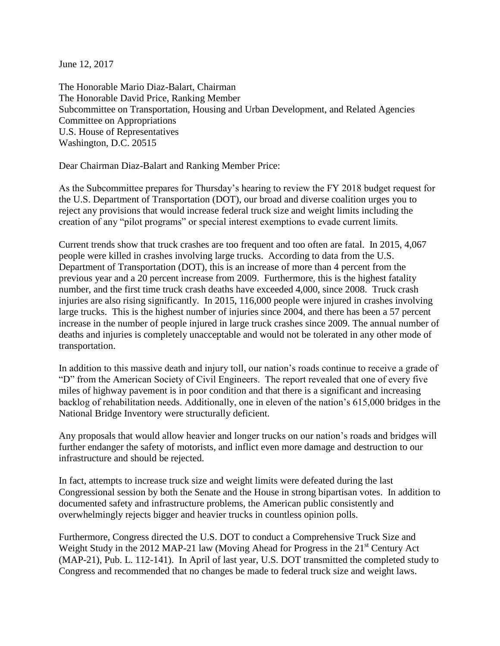June 12, 2017

The Honorable Mario Diaz-Balart, Chairman The Honorable David Price, Ranking Member Subcommittee on Transportation, Housing and Urban Development, and Related Agencies Committee on Appropriations U.S. House of Representatives Washington, D.C. 20515

Dear Chairman Diaz-Balart and Ranking Member Price:

As the Subcommittee prepares for Thursday's hearing to review the FY 2018 budget request for the U.S. Department of Transportation (DOT), our broad and diverse coalition urges you to reject any provisions that would increase federal truck size and weight limits including the creation of any "pilot programs" or special interest exemptions to evade current limits.

Current trends show that truck crashes are too frequent and too often are fatal. In 2015, 4,067 people were killed in crashes involving large trucks. According to data from the U.S. Department of Transportation (DOT), this is an increase of more than 4 percent from the previous year and a 20 percent increase from 2009. Furthermore, this is the highest fatality number, and the first time truck crash deaths have exceeded 4,000, since 2008. Truck crash injuries are also rising significantly. In 2015, 116,000 people were injured in crashes involving large trucks. This is the highest number of injuries since 2004, and there has been a 57 percent increase in the number of people injured in large truck crashes since 2009. The annual number of deaths and injuries is completely unacceptable and would not be tolerated in any other mode of transportation.

In addition to this massive death and injury toll, our nation's roads continue to receive a grade of "D" from the American Society of Civil Engineers. The report revealed that one of every five miles of highway pavement is in poor condition and that there is a significant and increasing backlog of rehabilitation needs. Additionally, one in eleven of the nation's 615,000 bridges in the National Bridge Inventory were structurally deficient.

Any proposals that would allow heavier and longer trucks on our nation's roads and bridges will further endanger the safety of motorists, and inflict even more damage and destruction to our infrastructure and should be rejected.

In fact, attempts to increase truck size and weight limits were defeated during the last Congressional session by both the Senate and the House in strong bipartisan votes. In addition to documented safety and infrastructure problems, the American public consistently and overwhelmingly rejects bigger and heavier trucks in countless opinion polls.

Furthermore, Congress directed the U.S. DOT to conduct a Comprehensive Truck Size and Weight Study in the 2012 MAP-21 law (Moving Ahead for Progress in the  $21<sup>st</sup>$  Century Act (MAP-21), Pub. L. 112-141). In April of last year, U.S. DOT transmitted the completed study to Congress and recommended that no changes be made to federal truck size and weight laws.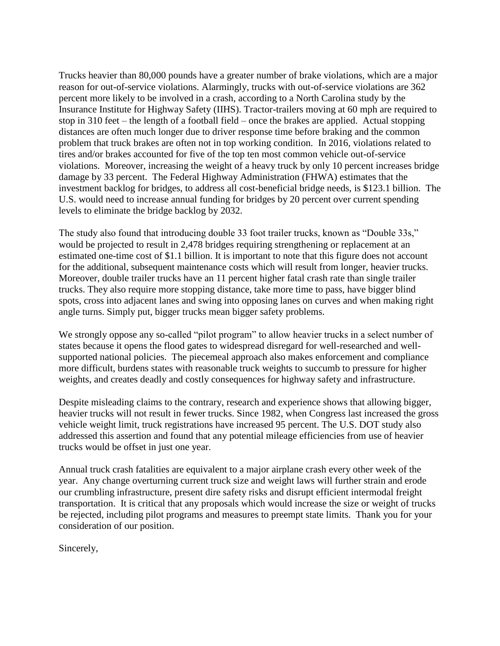Trucks heavier than 80,000 pounds have a greater number of brake violations, which are a major reason for out-of-service violations. Alarmingly, trucks with out-of-service violations are 362 percent more likely to be involved in a crash, according to a North Carolina study by the Insurance Institute for Highway Safety (IIHS). Tractor-trailers moving at 60 mph are required to stop in 310 feet – the length of a football field – once the brakes are applied. Actual stopping distances are often much longer due to driver response time before braking and the common problem that truck brakes are often not in top working condition. In 2016, violations related to tires and/or brakes accounted for five of the top ten most common vehicle out-of-service violations. Moreover, increasing the weight of a heavy truck by only 10 percent increases bridge damage by 33 percent. The Federal Highway Administration (FHWA) estimates that the investment backlog for bridges, to address all cost-beneficial bridge needs, is \$123.1 billion. The U.S. would need to increase annual funding for bridges by 20 percent over current spending levels to eliminate the bridge backlog by 2032.

The study also found that introducing double 33 foot trailer trucks, known as "Double 33s," would be projected to result in 2,478 bridges requiring strengthening or replacement at an estimated one-time cost of \$1.1 billion. It is important to note that this figure does not account for the additional, subsequent maintenance costs which will result from longer, heavier trucks. Moreover, double trailer trucks have an 11 percent higher fatal crash rate than single trailer trucks. They also require more stopping distance, take more time to pass, have bigger blind spots, cross into adjacent lanes and swing into opposing lanes on curves and when making right angle turns. Simply put, bigger trucks mean bigger safety problems.

We strongly oppose any so-called "pilot program" to allow heavier trucks in a select number of states because it opens the flood gates to widespread disregard for well-researched and wellsupported national policies. The piecemeal approach also makes enforcement and compliance more difficult, burdens states with reasonable truck weights to succumb to pressure for higher weights, and creates deadly and costly consequences for highway safety and infrastructure.

Despite misleading claims to the contrary, research and experience shows that allowing bigger, heavier trucks will not result in fewer trucks. Since 1982, when Congress last increased the gross vehicle weight limit, truck registrations have increased 95 percent. The U.S. DOT study also addressed this assertion and found that any potential mileage efficiencies from use of heavier trucks would be offset in just one year.

Annual truck crash fatalities are equivalent to a major airplane crash every other week of the year. Any change overturning current truck size and weight laws will further strain and erode our crumbling infrastructure, present dire safety risks and disrupt efficient intermodal freight transportation. It is critical that any proposals which would increase the size or weight of trucks be rejected, including pilot programs and measures to preempt state limits. Thank you for your consideration of our position.

Sincerely,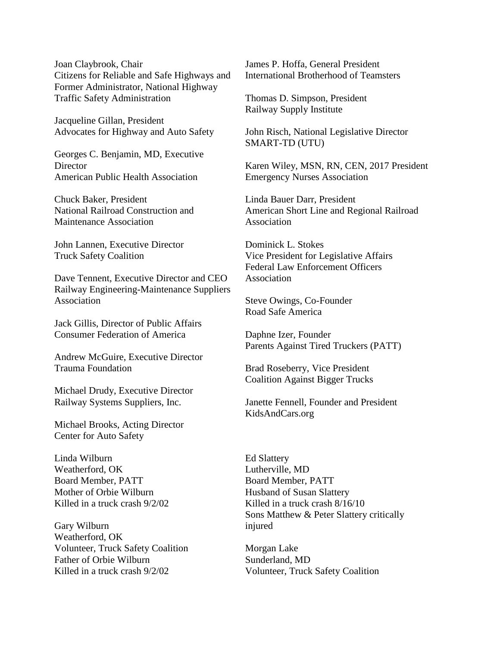Joan Claybrook, Chair Citizens for Reliable and Safe Highways and Former Administrator, National Highway Traffic Safety Administration

Jacqueline Gillan, President Advocates for Highway and Auto Safety

Georges C. Benjamin, MD, Executive **Director** American Public Health Association

Chuck Baker, President National Railroad Construction and Maintenance Association

John Lannen, Executive Director Truck Safety Coalition

Dave Tennent, Executive Director and CEO Railway Engineering-Maintenance Suppliers Association

Jack Gillis, Director of Public Affairs Consumer Federation of America

Andrew McGuire, Executive Director Trauma Foundation

Michael Drudy, Executive Director Railway Systems Suppliers, Inc.

Michael Brooks, Acting Director Center for Auto Safety

Linda Wilburn Weatherford, OK Board Member, PATT Mother of Orbie Wilburn Killed in a truck crash 9/2/02

Gary Wilburn Weatherford, OK Volunteer, Truck Safety Coalition Father of Orbie Wilburn Killed in a truck crash 9/2/02

James P. Hoffa, General President International Brotherhood of Teamsters

Thomas D. Simpson, President Railway Supply Institute

John Risch, National Legislative Director SMART-TD (UTU)

Karen Wiley, MSN, RN, CEN, 2017 President Emergency Nurses Association

Linda Bauer Darr, President American Short Line and Regional Railroad Association

Dominick L. Stokes Vice President for Legislative Affairs Federal Law Enforcement Officers Association

Steve Owings, Co-Founder Road Safe America

Daphne Izer, Founder Parents Against Tired Truckers (PATT)

Brad Roseberry, Vice President Coalition Against Bigger Trucks

Janette Fennell, Founder and President KidsAndCars.org

Ed Slattery Lutherville, MD Board Member, PATT Husband of Susan Slattery Killed in a truck crash 8/16/10 Sons Matthew & Peter Slattery critically injured

Morgan Lake Sunderland, MD Volunteer, Truck Safety Coalition